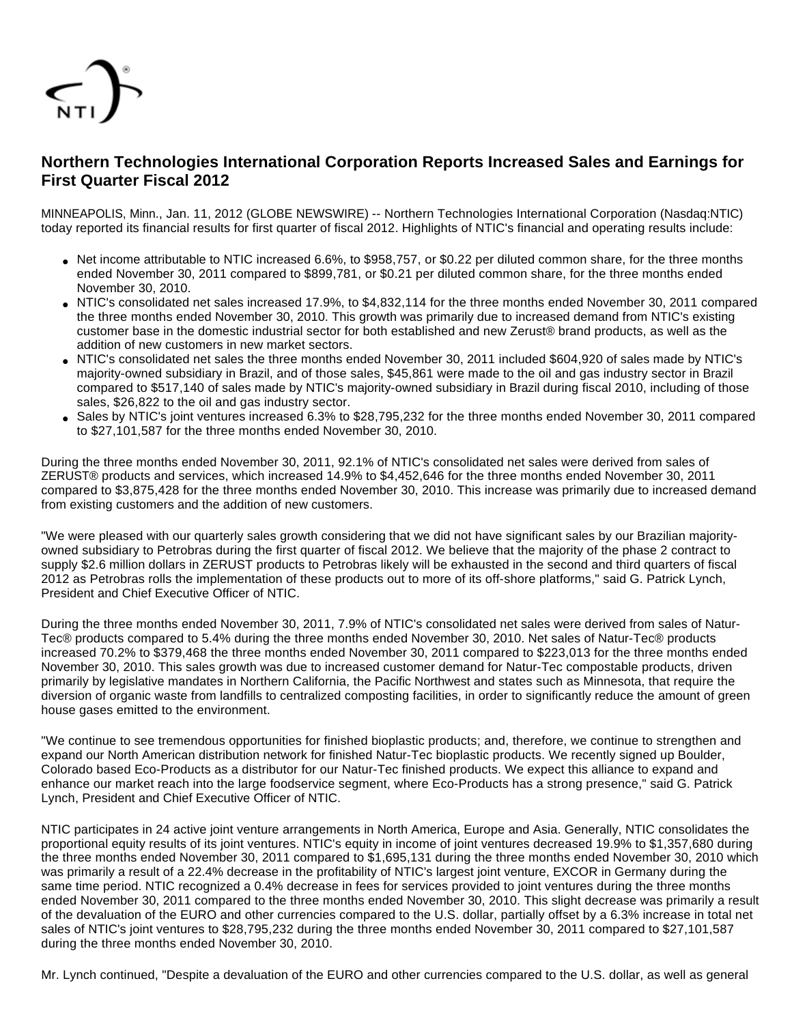

# **Northern Technologies International Corporation Reports Increased Sales and Earnings for First Quarter Fiscal 2012**

MINNEAPOLIS, Minn., Jan. 11, 2012 (GLOBE NEWSWIRE) -- Northern Technologies International Corporation (Nasdaq:NTIC) today reported its financial results for first quarter of fiscal 2012. Highlights of NTIC's financial and operating results include:

- Net income attributable to NTIC increased 6.6%, to \$958,757, or \$0.22 per diluted common share, for the three months ended November 30, 2011 compared to \$899,781, or \$0.21 per diluted common share, for the three months ended November 30, 2010.
- NTIC's consolidated net sales increased 17.9%, to \$4,832,114 for the three months ended November 30, 2011 compared the three months ended November 30, 2010. This growth was primarily due to increased demand from NTIC's existing customer base in the domestic industrial sector for both established and new Zerust® brand products, as well as the addition of new customers in new market sectors.
- NTIC's consolidated net sales the three months ended November 30, 2011 included \$604,920 of sales made by NTIC's majority-owned subsidiary in Brazil, and of those sales, \$45,861 were made to the oil and gas industry sector in Brazil compared to \$517,140 of sales made by NTIC's majority-owned subsidiary in Brazil during fiscal 2010, including of those sales, \$26,822 to the oil and gas industry sector.
- Sales by NTIC's joint ventures increased 6.3% to \$28,795,232 for the three months ended November 30, 2011 compared to \$27,101,587 for the three months ended November 30, 2010.

During the three months ended November 30, 2011, 92.1% of NTIC's consolidated net sales were derived from sales of ZERUST® products and services, which increased 14.9% to \$4,452,646 for the three months ended November 30, 2011 compared to \$3,875,428 for the three months ended November 30, 2010. This increase was primarily due to increased demand from existing customers and the addition of new customers.

"We were pleased with our quarterly sales growth considering that we did not have significant sales by our Brazilian majorityowned subsidiary to Petrobras during the first quarter of fiscal 2012. We believe that the majority of the phase 2 contract to supply \$2.6 million dollars in ZERUST products to Petrobras likely will be exhausted in the second and third quarters of fiscal 2012 as Petrobras rolls the implementation of these products out to more of its off-shore platforms," said G. Patrick Lynch, President and Chief Executive Officer of NTIC.

During the three months ended November 30, 2011, 7.9% of NTIC's consolidated net sales were derived from sales of Natur-Tec® products compared to 5.4% during the three months ended November 30, 2010. Net sales of Natur-Tec® products increased 70.2% to \$379,468 the three months ended November 30, 2011 compared to \$223,013 for the three months ended November 30, 2010. This sales growth was due to increased customer demand for Natur-Tec compostable products, driven primarily by legislative mandates in Northern California, the Pacific Northwest and states such as Minnesota, that require the diversion of organic waste from landfills to centralized composting facilities, in order to significantly reduce the amount of green house gases emitted to the environment.

"We continue to see tremendous opportunities for finished bioplastic products; and, therefore, we continue to strengthen and expand our North American distribution network for finished Natur-Tec bioplastic products. We recently signed up Boulder, Colorado based Eco-Products as a distributor for our Natur-Tec finished products. We expect this alliance to expand and enhance our market reach into the large foodservice segment, where Eco-Products has a strong presence," said G. Patrick Lynch, President and Chief Executive Officer of NTIC.

NTIC participates in 24 active joint venture arrangements in North America, Europe and Asia. Generally, NTIC consolidates the proportional equity results of its joint ventures. NTIC's equity in income of joint ventures decreased 19.9% to \$1,357,680 during the three months ended November 30, 2011 compared to \$1,695,131 during the three months ended November 30, 2010 which was primarily a result of a 22.4% decrease in the profitability of NTIC's largest joint venture, EXCOR in Germany during the same time period. NTIC recognized a 0.4% decrease in fees for services provided to joint ventures during the three months ended November 30, 2011 compared to the three months ended November 30, 2010. This slight decrease was primarily a result of the devaluation of the EURO and other currencies compared to the U.S. dollar, partially offset by a 6.3% increase in total net sales of NTIC's joint ventures to \$28,795,232 during the three months ended November 30, 2011 compared to \$27,101,587 during the three months ended November 30, 2010.

Mr. Lynch continued, "Despite a devaluation of the EURO and other currencies compared to the U.S. dollar, as well as general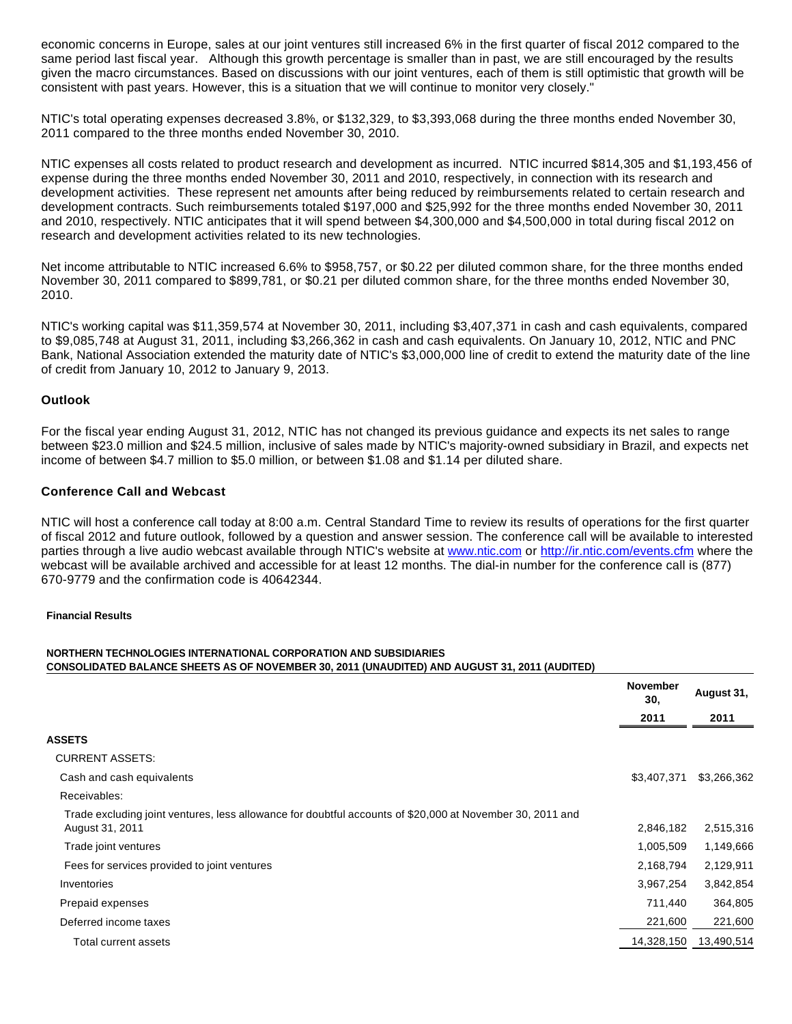economic concerns in Europe, sales at our joint ventures still increased 6% in the first quarter of fiscal 2012 compared to the same period last fiscal year. Although this growth percentage is smaller than in past, we are still encouraged by the results given the macro circumstances. Based on discussions with our joint ventures, each of them is still optimistic that growth will be consistent with past years. However, this is a situation that we will continue to monitor very closely."

NTIC's total operating expenses decreased 3.8%, or \$132,329, to \$3,393,068 during the three months ended November 30, 2011 compared to the three months ended November 30, 2010.

NTIC expenses all costs related to product research and development as incurred. NTIC incurred \$814,305 and \$1,193,456 of expense during the three months ended November 30, 2011 and 2010, respectively, in connection with its research and development activities. These represent net amounts after being reduced by reimbursements related to certain research and development contracts. Such reimbursements totaled \$197,000 and \$25,992 for the three months ended November 30, 2011 and 2010, respectively. NTIC anticipates that it will spend between \$4,300,000 and \$4,500,000 in total during fiscal 2012 on research and development activities related to its new technologies.

Net income attributable to NTIC increased 6.6% to \$958,757, or \$0.22 per diluted common share, for the three months ended November 30, 2011 compared to \$899,781, or \$0.21 per diluted common share, for the three months ended November 30, 2010.

NTIC's working capital was \$11,359,574 at November 30, 2011, including \$3,407,371 in cash and cash equivalents, compared to \$9,085,748 at August 31, 2011, including \$3,266,362 in cash and cash equivalents. On January 10, 2012, NTIC and PNC Bank, National Association extended the maturity date of NTIC's \$3,000,000 line of credit to extend the maturity date of the line of credit from January 10, 2012 to January 9, 2013.

#### **Outlook**

For the fiscal year ending August 31, 2012, NTIC has not changed its previous guidance and expects its net sales to range between \$23.0 million and \$24.5 million, inclusive of sales made by NTIC's majority-owned subsidiary in Brazil, and expects net income of between \$4.7 million to \$5.0 million, or between \$1.08 and \$1.14 per diluted share.

#### **Conference Call and Webcast**

NTIC will host a conference call today at 8:00 a.m. Central Standard Time to review its results of operations for the first quarter of fiscal 2012 and future outlook, followed by a question and answer session. The conference call will be available to interested parties through a live audio webcast available through NTIC's website at [www.ntic.com](http://www.globenewswire.com/newsroom/ctr?d=242303&l=15&a=www.ntic.com&u=http%3A%2F%2Fwww.ntic.com) or<http://ir.ntic.com/events.cfm>where the webcast will be available archived and accessible for at least 12 months. The dial-in number for the conference call is (877) 670-9779 and the confirmation code is 40642344.

#### **Financial Results**

#### **NORTHERN TECHNOLOGIES INTERNATIONAL CORPORATION AND SUBSIDIARIES CONSOLIDATED BALANCE SHEETS AS OF NOVEMBER 30, 2011 (UNAUDITED) AND AUGUST 31, 2011 (AUDITED)**

|                                                                                                                              | <b>November</b><br>30. | August 31,<br>2011 |
|------------------------------------------------------------------------------------------------------------------------------|------------------------|--------------------|
|                                                                                                                              | 2011                   |                    |
| ASSETS                                                                                                                       |                        |                    |
| <b>CURRENT ASSETS:</b>                                                                                                       |                        |                    |
| Cash and cash equivalents                                                                                                    | \$3,407,371            | \$3,266,362        |
| Receivables:                                                                                                                 |                        |                    |
| Trade excluding joint ventures, less allowance for doubtful accounts of \$20,000 at November 30, 2011 and<br>August 31, 2011 | 2,846,182              | 2,515,316          |
| Trade joint ventures                                                                                                         | 1,005,509              | 1,149,666          |
| Fees for services provided to joint ventures                                                                                 | 2,168,794              | 2,129,911          |
| Inventories                                                                                                                  | 3,967,254              | 3,842,854          |
| Prepaid expenses                                                                                                             | 711,440                | 364,805            |
| Deferred income taxes                                                                                                        | 221,600                | 221,600            |
| Total current assets                                                                                                         | 14,328,150             | 13,490,514         |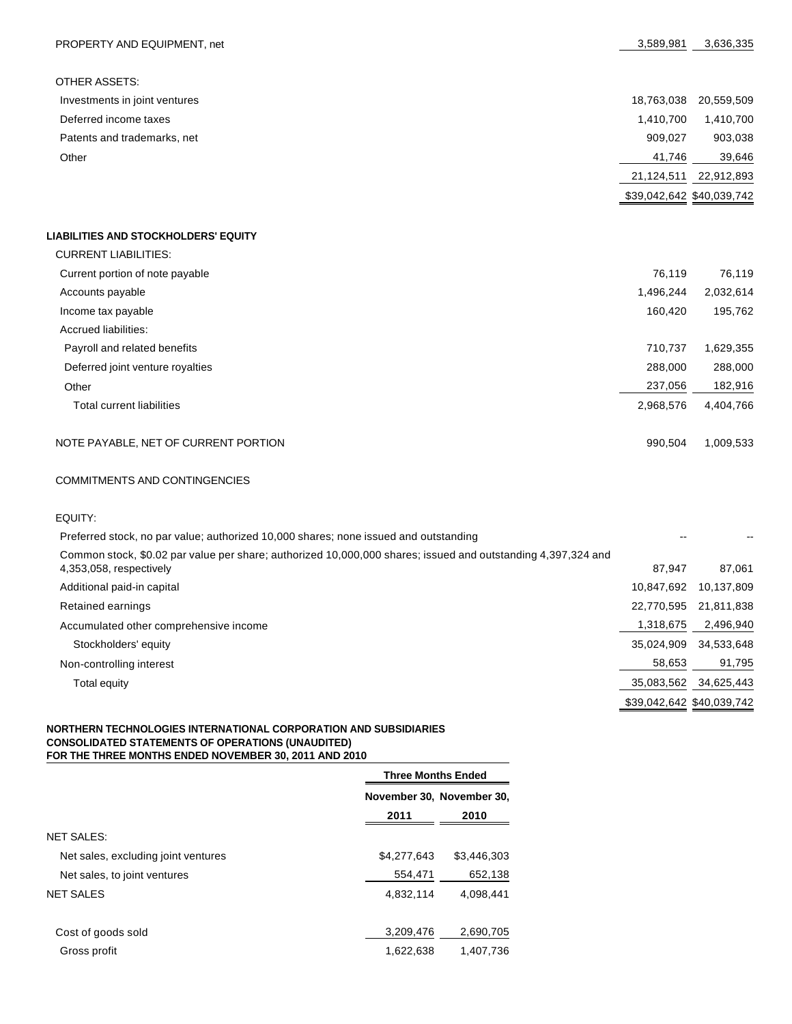| PROPERTY AND EQUIPMENT, net                 | 3,589,981  | 3,636,335                 |
|---------------------------------------------|------------|---------------------------|
|                                             |            |                           |
| <b>OTHER ASSETS:</b>                        |            |                           |
| Investments in joint ventures               | 18,763,038 | 20,559,509                |
| Deferred income taxes                       | 1,410,700  | 1,410,700                 |
| Patents and trademarks, net                 | 909,027    | 903,038                   |
| Other                                       | 41,746     | 39,646                    |
|                                             | 21,124,511 | 22,912,893                |
|                                             |            | \$39,042,642 \$40,039,742 |
|                                             |            |                           |
| <b>LIABILITIES AND STOCKHOLDERS' EQUITY</b> |            |                           |
| <b>CURRENT LIABILITIES:</b>                 |            |                           |
| Current portion of note payable             | 76,119     | 76,119                    |
| Accounts payable                            | 1,496,244  | 2,032,614                 |
| Income tax payable                          | 160,420    | 195,762                   |
| <b>Accrued liabilities:</b>                 |            |                           |
| Payroll and related benefits                | 710,737    | 1,629,355                 |
| Deferred joint venture royalties            | 288,000    | 288,000                   |
| Other                                       | 237,056    | 182,916                   |
| <b>Total current liabilities</b>            | 2,968,576  | 4,404,766                 |
| NOTE PAYABLE, NET OF CURRENT PORTION        | 990,504    | 1,009,533                 |

# COMMITMENTS AND CONTINGENCIES

EQUITY:

| Preferred stock, no par value; authorized 10,000 shares; none issued and outstanding                                                    |            |                           |
|-----------------------------------------------------------------------------------------------------------------------------------------|------------|---------------------------|
| Common stock, \$0.02 par value per share; authorized 10,000,000 shares; issued and outstanding 4,397,324 and<br>4,353,058, respectively | 87.947     | 87.061                    |
| Additional paid-in capital                                                                                                              | 10.847.692 | 10,137,809                |
| Retained earnings                                                                                                                       | 22,770,595 | 21.811.838                |
| Accumulated other comprehensive income                                                                                                  | 1,318,675  | 2,496,940                 |
| Stockholders' equity                                                                                                                    | 35.024.909 | 34,533,648                |
| Non-controlling interest                                                                                                                | 58,653     | 91,795                    |
| Total equity                                                                                                                            | 35,083,562 | 34,625,443                |
|                                                                                                                                         |            | \$39,042,642 \$40,039,742 |

#### **NORTHERN TECHNOLOGIES INTERNATIONAL CORPORATION AND SUBSIDIARIES CONSOLIDATED STATEMENTS OF OPERATIONS (UNAUDITED) FOR THE THREE MONTHS ENDED NOVEMBER 30, 2011 AND 2010**

|                                     |             | <b>Three Months Ended</b> |  |  |
|-------------------------------------|-------------|---------------------------|--|--|
|                                     |             | November 30, November 30, |  |  |
|                                     | 2011        | 2010                      |  |  |
| <b>NET SALES:</b>                   |             |                           |  |  |
| Net sales, excluding joint ventures | \$4,277,643 | \$3,446,303               |  |  |
| Net sales, to joint ventures        | 554,471     | 652,138                   |  |  |
| <b>NET SALES</b>                    | 4,832,114   | 4.098.441                 |  |  |
|                                     |             |                           |  |  |
| Cost of goods sold                  | 3,209,476   | 2,690,705                 |  |  |
| Gross profit                        | 1,622,638   | 1,407,736                 |  |  |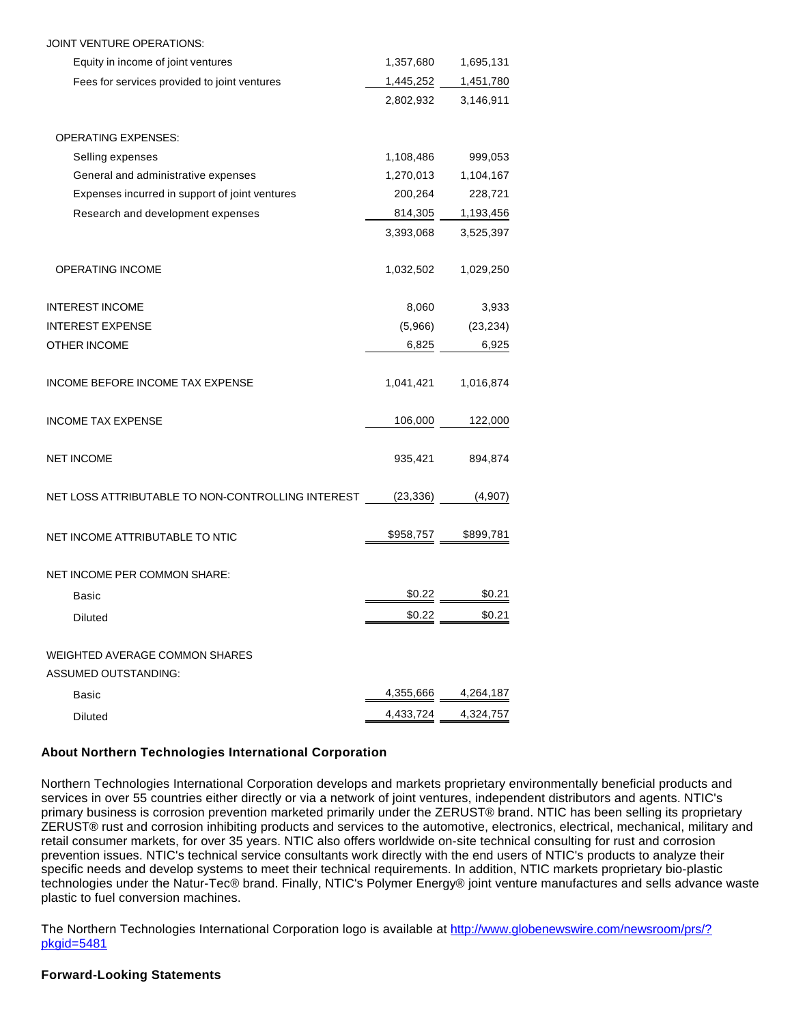| JOINT VENTURE OPERATIONS:                                            |           |                     |
|----------------------------------------------------------------------|-----------|---------------------|
| Equity in income of joint ventures                                   | 1,357,680 | 1,695,131           |
| Fees for services provided to joint ventures                         | 1,445,252 | 1,451,780           |
|                                                                      | 2,802,932 | 3,146,911           |
| <b>OPERATING EXPENSES:</b>                                           |           |                     |
| Selling expenses                                                     | 1,108,486 | 999,053             |
| General and administrative expenses                                  | 1,270,013 | 1,104,167           |
| Expenses incurred in support of joint ventures                       | 200,264   | 228,721             |
| Research and development expenses                                    | 814,305   | 1,193,456           |
|                                                                      | 3,393,068 | 3,525,397           |
| <b>OPERATING INCOME</b>                                              | 1,032,502 | 1,029,250           |
| <b>INTEREST INCOME</b>                                               | 8,060     | 3,933               |
| <b>INTEREST EXPENSE</b>                                              | (5,966)   | (23, 234)           |
| <b>OTHER INCOME</b>                                                  | 6,825     | 6,925               |
| INCOME BEFORE INCOME TAX EXPENSE                                     | 1,041,421 | 1,016,874           |
| <b>INCOME TAX EXPENSE</b>                                            | 106,000   | 122,000             |
| <b>NET INCOME</b>                                                    | 935,421   | 894,874             |
| NET LOSS ATTRIBUTABLE TO NON-CONTROLLING INTEREST                    | (23, 336) | (4,907)             |
| NET INCOME ATTRIBUTABLE TO NTIC                                      | \$958,757 | \$899,781           |
| NET INCOME PER COMMON SHARE:                                         |           |                     |
| Basic                                                                | \$0.22    | \$0.21              |
| Diluted                                                              | \$0.22    | \$0.21              |
| <b>WEIGHTED AVERAGE COMMON SHARES</b><br><b>ASSUMED OUTSTANDING:</b> |           |                     |
| Basic                                                                |           | 4,355,666 4,264,187 |
| <b>Diluted</b>                                                       |           | 4,433,724 4,324,757 |
|                                                                      |           |                     |

## **About Northern Technologies International Corporation**

Northern Technologies International Corporation develops and markets proprietary environmentally beneficial products and services in over 55 countries either directly or via a network of joint ventures, independent distributors and agents. NTIC's primary business is corrosion prevention marketed primarily under the ZERUST® brand. NTIC has been selling its proprietary ZERUST® rust and corrosion inhibiting products and services to the automotive, electronics, electrical, mechanical, military and retail consumer markets, for over 35 years. NTIC also offers worldwide on-site technical consulting for rust and corrosion prevention issues. NTIC's technical service consultants work directly with the end users of NTIC's products to analyze their specific needs and develop systems to meet their technical requirements. In addition, NTIC markets proprietary bio-plastic technologies under the Natur-Tec® brand. Finally, NTIC's Polymer Energy® joint venture manufactures and sells advance waste plastic to fuel conversion machines.

The Northern Technologies International Corporation logo is available at [http://www.globenewswire.com/newsroom/prs/?](http://www.globenewswire.com/newsroom/prs/?pkgid=5481) [pkgid=5481](http://www.globenewswire.com/newsroom/prs/?pkgid=5481)

### **Forward-Looking Statements**